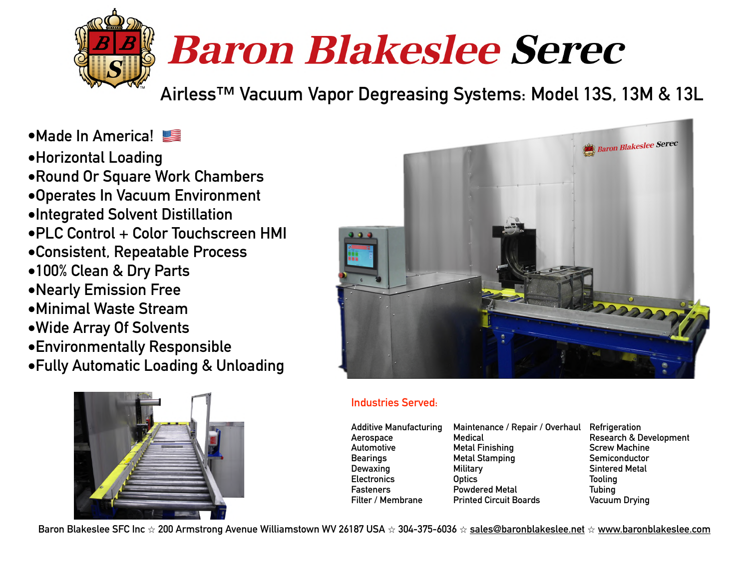

# **Baron Blakeslee Serec**

**Airless™ Vacuum Vapor Degreasing Systems: Model 13S, 13M & 13L**

- **•Made In America!**
- **•Horizontal Loading**
- **•Round Or Square Work Chambers**
- **•Operates In Vacuum Environment**
- **•Integrated Solvent Distillation**
- **•PLC Control + Color Touchscreen HMI**
- **•Consistent, Repeatable Process**
- **•100% Clean & Dry Parts**
- **•Nearly Emission Free**
- **•Minimal Waste Stream**
- **•Wide Array Of Solvents**
- **•Environmentally Responsible**
- **•Fully Automatic Loading & Unloading**





#### **Industries Served:**

| <b>Additive Manufacturing</b><br>Aerospace<br>Automotive<br><b>Bearings</b><br><b>Dewaxing</b><br><b>Electronics</b> | Maintenance / Repair / Overhaul Refrigeration<br>Medical<br><b>Metal Finishing</b><br><b>Metal Stamping</b><br>Military<br><b>Optics</b> | <b>Research &amp; Development</b><br><b>Screw Machine</b><br>Semiconductor<br><b>Sintered Metal</b><br><b>Tooling</b> |
|----------------------------------------------------------------------------------------------------------------------|------------------------------------------------------------------------------------------------------------------------------------------|-----------------------------------------------------------------------------------------------------------------------|
| <b>Fasteners</b>                                                                                                     | <b>Powdered Metal</b>                                                                                                                    | Tubing                                                                                                                |
| Filter / Membrane                                                                                                    | <b>Printed Circuit Boards</b>                                                                                                            | <b>Vacuum Drying</b>                                                                                                  |

**Baron Blakeslee SFC Inc** ⭐ **200 Armstrong Avenue Williamstown WV 26187 USA** ⭐ **304-375-6036** ⭐ **[sales@baronblakeslee.net](mailto:sales@baronblakeslee.net)** ⭐ **[www.baronblakeslee.com](http://www.baronblakeslee.com)**